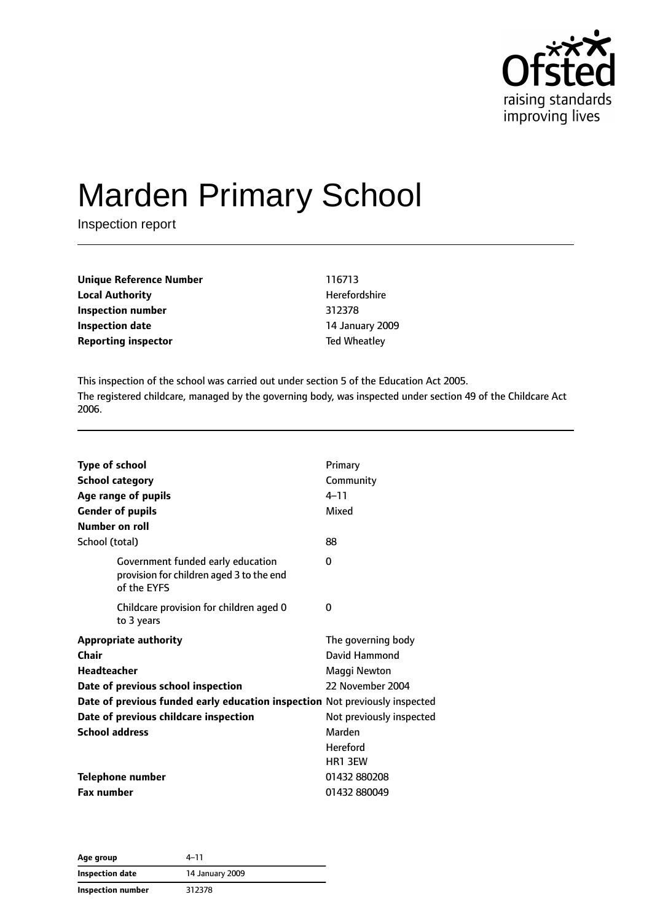

# Marden Primary School

Inspection report

| <b>Unique Reference Number</b> | 116713              |
|--------------------------------|---------------------|
| <b>Local Authority</b>         | Herefordshire       |
| Inspection number              | 312378              |
| <b>Inspection date</b>         | 14 January 2009     |
| <b>Reporting inspector</b>     | <b>Ted Wheatley</b> |

This inspection of the school was carried out under section 5 of the Education Act 2005. The registered childcare, managed by the governing body, was inspected under section 49 of the Childcare Act 2006.

| <b>Type of school</b><br><b>School category</b>                                              | Primary<br>Community     |
|----------------------------------------------------------------------------------------------|--------------------------|
| Age range of pupils                                                                          | $4 - 11$                 |
| <b>Gender of pupils</b>                                                                      | Mixed                    |
| Number on roll                                                                               |                          |
| School (total)                                                                               | 88                       |
| Government funded early education<br>provision for children aged 3 to the end<br>of the EYFS | 0                        |
| Childcare provision for children aged 0<br>to 3 years                                        | 0                        |
| <b>Appropriate authority</b>                                                                 | The governing body       |
| Chair                                                                                        | David Hammond            |
| <b>Headteacher</b>                                                                           | Maggi Newton             |
| Date of previous school inspection                                                           | 22 November 2004         |
| Date of previous funded early education inspection Not previously inspected                  |                          |
| Date of previous childcare inspection                                                        | Not previously inspected |
| <b>School address</b>                                                                        | Marden                   |
|                                                                                              | <b>Hereford</b>          |
|                                                                                              | HR1 3EW                  |
| <b>Telephone number</b>                                                                      | 01432 880208             |
| <b>Fax number</b>                                                                            | 01432880049              |

**Age group** 4–11 **Inspection date** 14 January 2009 **Inspection number** 312378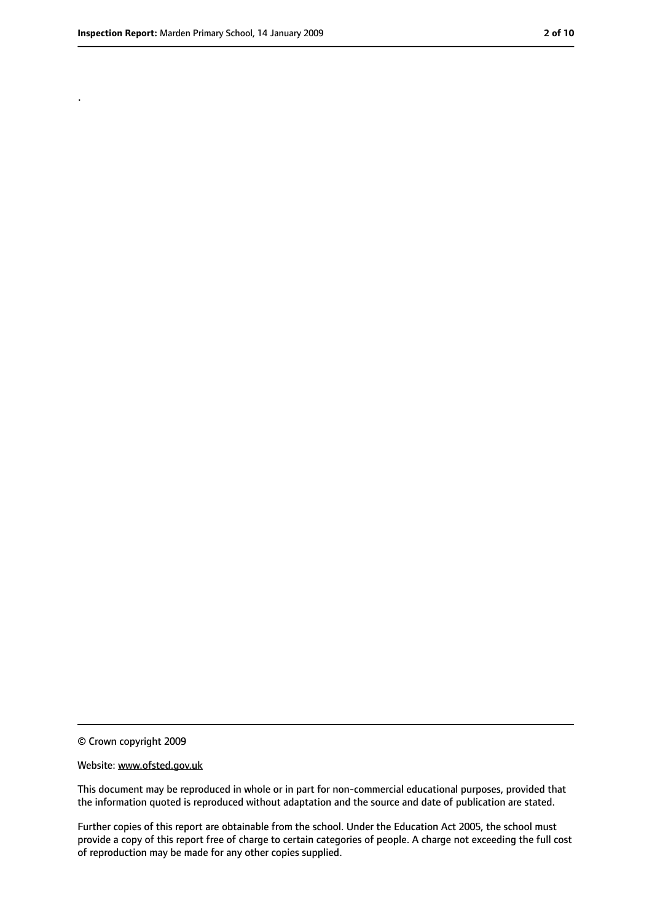.

<sup>©</sup> Crown copyright 2009

Website: www.ofsted.gov.uk

This document may be reproduced in whole or in part for non-commercial educational purposes, provided that the information quoted is reproduced without adaptation and the source and date of publication are stated.

Further copies of this report are obtainable from the school. Under the Education Act 2005, the school must provide a copy of this report free of charge to certain categories of people. A charge not exceeding the full cost of reproduction may be made for any other copies supplied.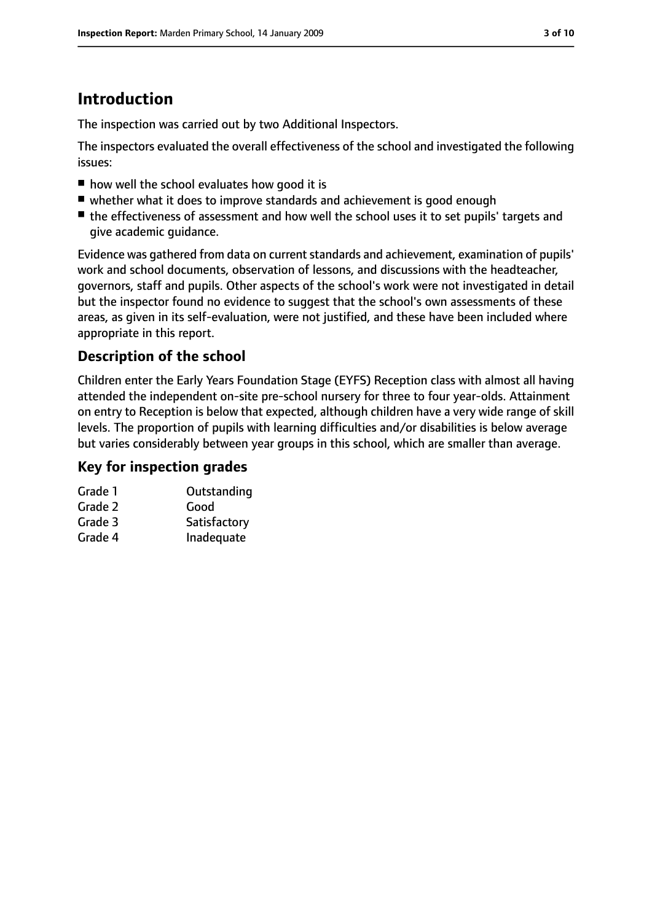## **Introduction**

The inspection was carried out by two Additional Inspectors.

The inspectors evaluated the overall effectiveness of the school and investigated the following issues:

- how well the school evaluates how good it is
- whether what it does to improve standards and achievement is good enough
- the effectiveness of assessment and how well the school uses it to set pupils' targets and give academic guidance.

Evidence was gathered from data on current standards and achievement, examination of pupils' work and school documents, observation of lessons, and discussions with the headteacher, governors, staff and pupils. Other aspects of the school's work were not investigated in detail but the inspector found no evidence to suggest that the school's own assessments of these areas, as given in its self-evaluation, were not justified, and these have been included where appropriate in this report.

## **Description of the school**

Children enter the Early Years Foundation Stage (EYFS) Reception class with almost all having attended the independent on-site pre-school nursery for three to four year-olds. Attainment on entry to Reception is below that expected, although children have a very wide range of skill levels. The proportion of pupils with learning difficulties and/or disabilities is below average but varies considerably between year groups in this school, which are smaller than average.

#### **Key for inspection grades**

| Grade 1 | Outstanding  |
|---------|--------------|
| Grade 2 | Good         |
| Grade 3 | Satisfactory |
| Grade 4 | Inadequate   |
|         |              |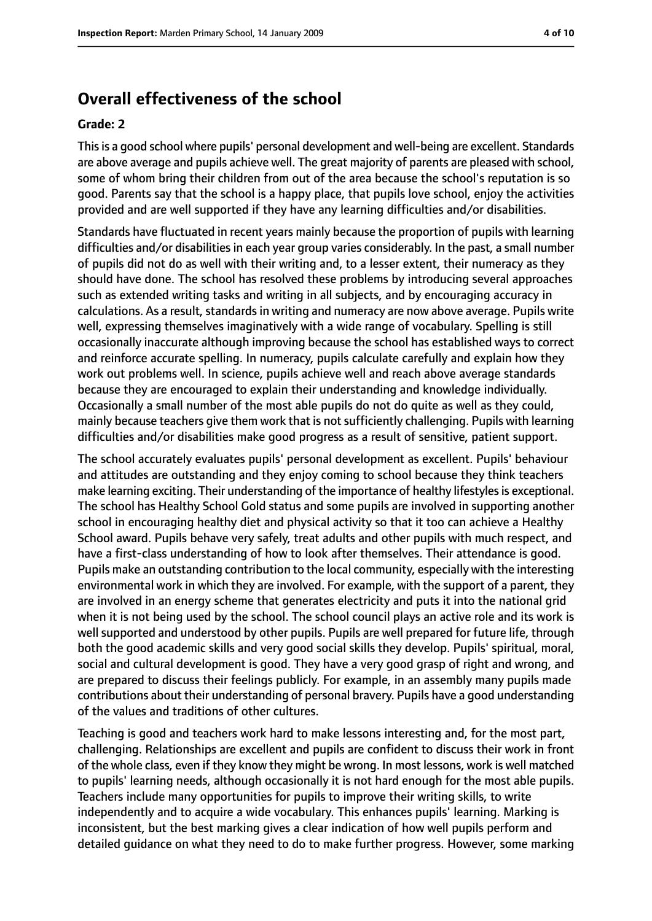## **Overall effectiveness of the school**

#### **Grade: 2**

Thisis a good school where pupils' personal development and well-being are excellent. Standards are above average and pupils achieve well. The great majority of parents are pleased with school, some of whom bring their children from out of the area because the school's reputation is so good. Parents say that the school is a happy place, that pupils love school, enjoy the activities provided and are well supported if they have any learning difficulties and/or disabilities.

Standards have fluctuated in recent years mainly because the proportion of pupils with learning difficulties and/or disabilities in each year group varies considerably. In the past, a small number of pupils did not do as well with their writing and, to a lesser extent, their numeracy as they should have done. The school has resolved these problems by introducing several approaches such as extended writing tasks and writing in all subjects, and by encouraging accuracy in calculations. As a result, standards in writing and numeracy are now above average. Pupils write well, expressing themselves imaginatively with a wide range of vocabulary. Spelling is still occasionally inaccurate although improving because the school has established ways to correct and reinforce accurate spelling. In numeracy, pupils calculate carefully and explain how they work out problems well. In science, pupils achieve well and reach above average standards because they are encouraged to explain their understanding and knowledge individually. Occasionally a small number of the most able pupils do not do quite as well as they could, mainly because teachers give them work that is not sufficiently challenging. Pupils with learning difficulties and/or disabilities make good progress as a result of sensitive, patient support.

The school accurately evaluates pupils' personal development as excellent. Pupils' behaviour and attitudes are outstanding and they enjoy coming to school because they think teachers make learning exciting. Their understanding of the importance of healthy lifestyles is exceptional. The school has Healthy School Gold status and some pupils are involved in supporting another school in encouraging healthy diet and physical activity so that it too can achieve a Healthy School award. Pupils behave very safely, treat adults and other pupils with much respect, and have a first-class understanding of how to look after themselves. Their attendance is good. Pupils make an outstanding contribution to the local community, especially with the interesting environmental work in which they are involved. For example, with the support of a parent, they are involved in an energy scheme that generates electricity and puts it into the national grid when it is not being used by the school. The school council plays an active role and its work is well supported and understood by other pupils. Pupils are well prepared for future life, through both the good academic skills and very good social skills they develop. Pupils' spiritual, moral, social and cultural development is good. They have a very good grasp of right and wrong, and are prepared to discuss their feelings publicly. For example, in an assembly many pupils made contributions about their understanding of personal bravery. Pupils have a good understanding of the values and traditions of other cultures.

Teaching is good and teachers work hard to make lessons interesting and, for the most part, challenging. Relationships are excellent and pupils are confident to discuss their work in front of the whole class, even if they know they might be wrong. In most lessons, work is well matched to pupils' learning needs, although occasionally it is not hard enough for the most able pupils. Teachers include many opportunities for pupils to improve their writing skills, to write independently and to acquire a wide vocabulary. This enhances pupils' learning. Marking is inconsistent, but the best marking gives a clear indication of how well pupils perform and detailed guidance on what they need to do to make further progress. However, some marking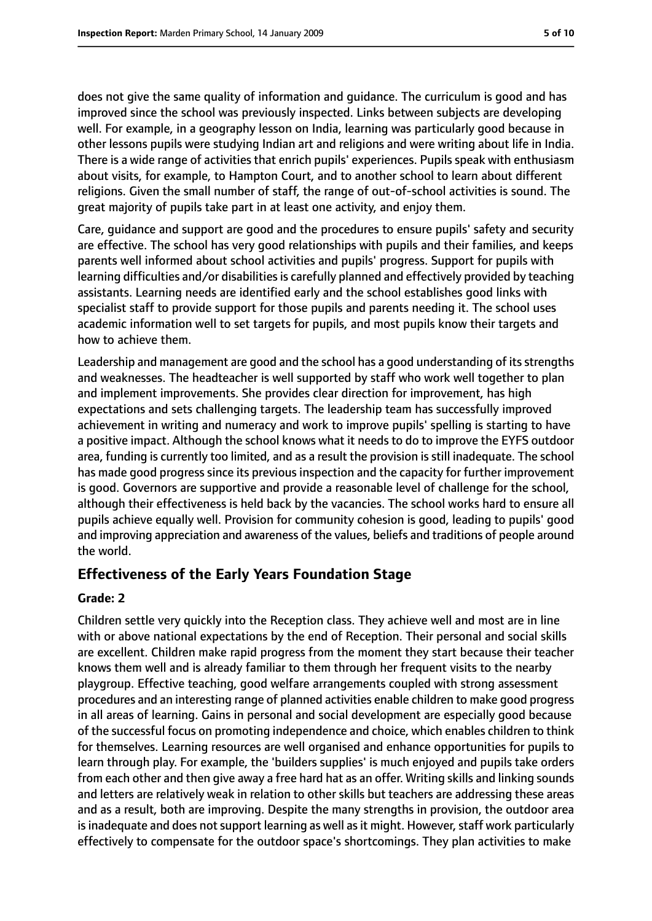does not give the same quality of information and guidance. The curriculum is good and has improved since the school was previously inspected. Links between subjects are developing well. For example, in a geography lesson on India, learning was particularly good because in other lessons pupils were studying Indian art and religions and were writing about life in India. There is a wide range of activities that enrich pupils' experiences. Pupils speak with enthusiasm about visits, for example, to Hampton Court, and to another school to learn about different religions. Given the small number of staff, the range of out-of-school activities is sound. The great majority of pupils take part in at least one activity, and enjoy them.

Care, guidance and support are good and the procedures to ensure pupils' safety and security are effective. The school has very good relationships with pupils and their families, and keeps parents well informed about school activities and pupils' progress. Support for pupils with learning difficulties and/or disabilities is carefully planned and effectively provided by teaching assistants. Learning needs are identified early and the school establishes good links with specialist staff to provide support for those pupils and parents needing it. The school uses academic information well to set targets for pupils, and most pupils know their targets and how to achieve them.

Leadership and management are good and the school has a good understanding of its strengths and weaknesses. The headteacher is well supported by staff who work well together to plan and implement improvements. She provides clear direction for improvement, has high expectations and sets challenging targets. The leadership team has successfully improved achievement in writing and numeracy and work to improve pupils' spelling is starting to have a positive impact. Although the school knows what it needs to do to improve the EYFS outdoor area, funding is currently too limited, and as a result the provision is still inadequate. The school has made good progress since its previous inspection and the capacity for further improvement is good. Governors are supportive and provide a reasonable level of challenge for the school, although their effectiveness is held back by the vacancies. The school works hard to ensure all pupils achieve equally well. Provision for community cohesion is good, leading to pupils' good and improving appreciation and awareness of the values, beliefs and traditions of people around the world.

#### **Effectiveness of the Early Years Foundation Stage**

#### **Grade: 2**

Children settle very quickly into the Reception class. They achieve well and most are in line with or above national expectations by the end of Reception. Their personal and social skills are excellent. Children make rapid progress from the moment they start because their teacher knows them well and is already familiar to them through her frequent visits to the nearby playgroup. Effective teaching, good welfare arrangements coupled with strong assessment procedures and an interesting range of planned activities enable children to make good progress in all areas of learning. Gains in personal and social development are especially good because of the successful focus on promoting independence and choice, which enables children to think for themselves. Learning resources are well organised and enhance opportunities for pupils to learn through play. For example, the 'builders supplies' is much enjoyed and pupils take orders from each other and then give away a free hard hat as an offer. Writing skills and linking sounds and letters are relatively weak in relation to other skills but teachers are addressing these areas and as a result, both are improving. Despite the many strengths in provision, the outdoor area is inadequate and does not support learning as well as it might. However, staff work particularly effectively to compensate for the outdoor space's shortcomings. They plan activities to make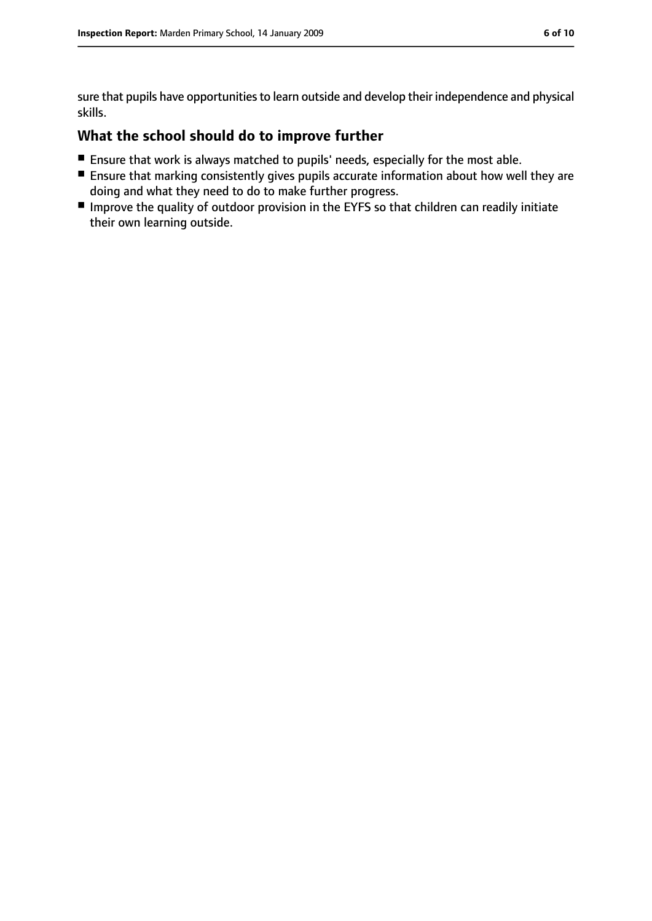sure that pupils have opportunities to learn outside and develop their independence and physical skills.

### **What the school should do to improve further**

- Ensure that work is always matched to pupils' needs, especially for the most able.
- Ensure that marking consistently gives pupils accurate information about how well they are doing and what they need to do to make further progress.
- Improve the quality of outdoor provision in the EYFS so that children can readily initiate their own learning outside.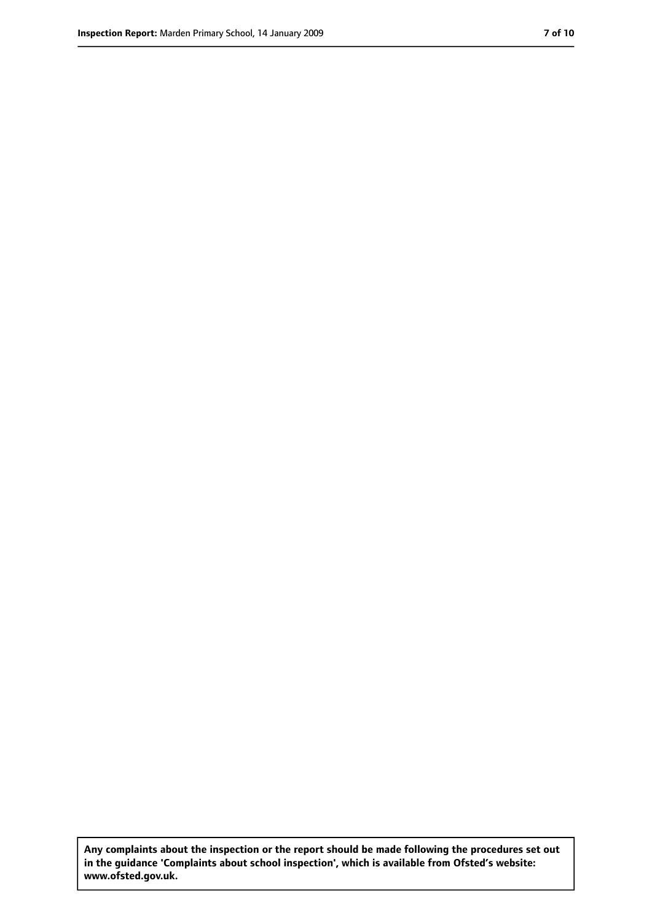**Any complaints about the inspection or the report should be made following the procedures set out in the guidance 'Complaints about school inspection', which is available from Ofsted's website: www.ofsted.gov.uk.**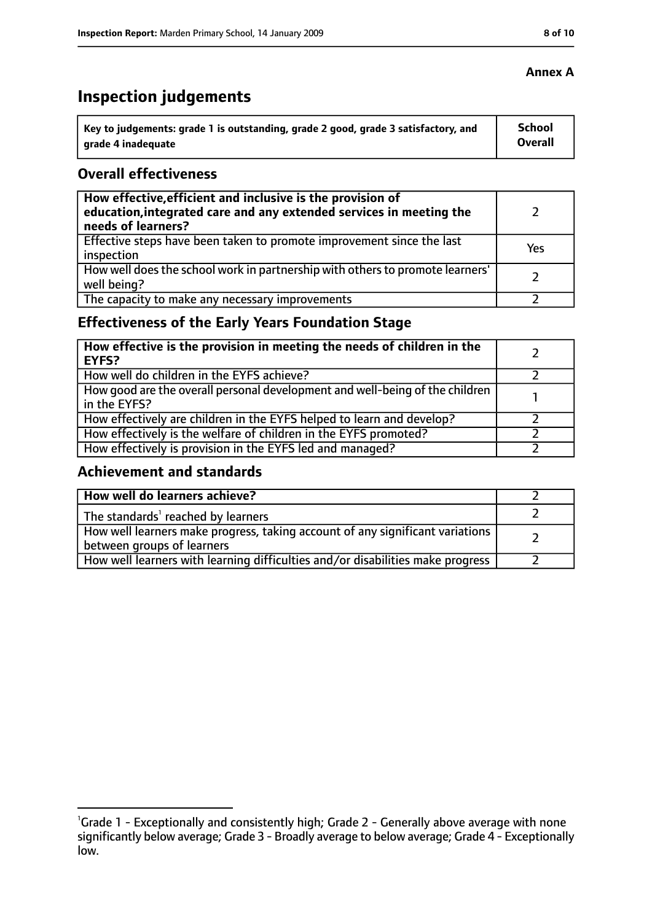# **Inspection judgements**

| key to judgements: grade 1 is outstanding, grade 2 good, grade 3 satisfactory, and ا | School         |
|--------------------------------------------------------------------------------------|----------------|
| arade 4 inadequate                                                                   | <b>Overall</b> |

#### **Overall effectiveness**

| How effective, efficient and inclusive is the provision of<br>education, integrated care and any extended services in meeting the<br>needs of learners? |     |
|---------------------------------------------------------------------------------------------------------------------------------------------------------|-----|
| Effective steps have been taken to promote improvement since the last<br>inspection                                                                     | Yes |
| How well does the school work in partnership with others to promote learners'<br>well being?                                                            |     |
| The capacity to make any necessary improvements                                                                                                         |     |

## **Effectiveness of the Early Years Foundation Stage**

| How effective is the provision in meeting the needs of children in the<br>l EYFS?            |  |
|----------------------------------------------------------------------------------------------|--|
| How well do children in the EYFS achieve?                                                    |  |
| How good are the overall personal development and well-being of the children<br>in the EYFS? |  |
| How effectively are children in the EYFS helped to learn and develop?                        |  |
| How effectively is the welfare of children in the EYFS promoted?                             |  |
| How effectively is provision in the EYFS led and managed?                                    |  |

#### **Achievement and standards**

| How well do learners achieve?                                                  |  |
|--------------------------------------------------------------------------------|--|
| $\vert$ The standards <sup>1</sup> reached by learners                         |  |
| How well learners make progress, taking account of any significant variations  |  |
| between groups of learners                                                     |  |
| How well learners with learning difficulties and/or disabilities make progress |  |

#### **Annex A**

<sup>&</sup>lt;sup>1</sup>Grade 1 - Exceptionally and consistently high; Grade 2 - Generally above average with none significantly below average; Grade 3 - Broadly average to below average; Grade 4 - Exceptionally low.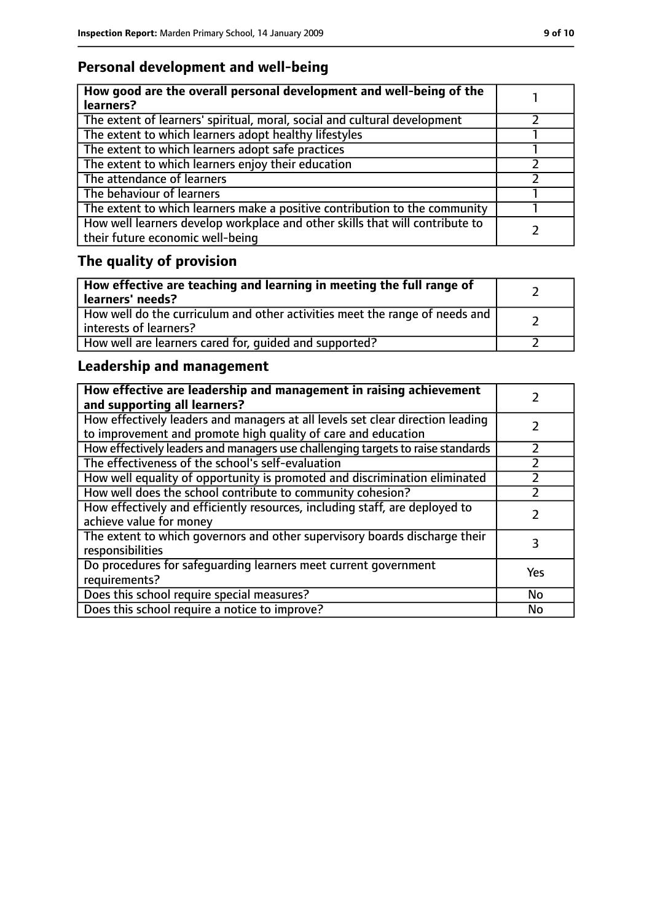## **Personal development and well-being**

| How good are the overall personal development and well-being of the<br>learners?                                 |  |
|------------------------------------------------------------------------------------------------------------------|--|
| The extent of learners' spiritual, moral, social and cultural development                                        |  |
| The extent to which learners adopt healthy lifestyles                                                            |  |
| The extent to which learners adopt safe practices                                                                |  |
| The extent to which learners enjoy their education                                                               |  |
| The attendance of learners                                                                                       |  |
| The behaviour of learners                                                                                        |  |
| The extent to which learners make a positive contribution to the community                                       |  |
| How well learners develop workplace and other skills that will contribute to<br>their future economic well-being |  |

# **The quality of provision**

| How effective are teaching and learning in meeting the full range of<br>learners' needs?              |  |
|-------------------------------------------------------------------------------------------------------|--|
| How well do the curriculum and other activities meet the range of needs and<br>interests of learners? |  |
| How well are learners cared for, quided and supported?                                                |  |

## **Leadership and management**

| How effective are leadership and management in raising achievement<br>and supporting all learners?                                              |     |
|-------------------------------------------------------------------------------------------------------------------------------------------------|-----|
| How effectively leaders and managers at all levels set clear direction leading<br>to improvement and promote high quality of care and education |     |
| How effectively leaders and managers use challenging targets to raise standards                                                                 |     |
| The effectiveness of the school's self-evaluation                                                                                               |     |
| How well equality of opportunity is promoted and discrimination eliminated                                                                      |     |
| How well does the school contribute to community cohesion?                                                                                      |     |
| How effectively and efficiently resources, including staff, are deployed to<br>achieve value for money                                          |     |
| The extent to which governors and other supervisory boards discharge their<br>responsibilities                                                  |     |
| Do procedures for safeguarding learners meet current government<br>requirements?                                                                | Yes |
| Does this school require special measures?                                                                                                      | No  |
| Does this school require a notice to improve?                                                                                                   | No  |